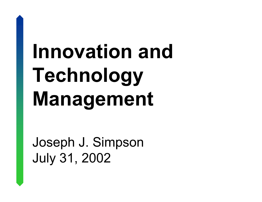Joseph J. Simpson July 31, 2002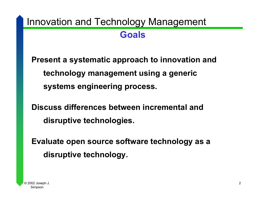### **Goals**

**Present a systematic approach to innovation and technology management using a generic systems engineering process.** 

**Discuss differences between incremental and disruptive technologies.** 

**Evaluate open source software technology as a disruptive technology.**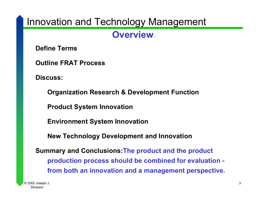### **Overview**

**Define Terms**

**Outline FRAT Process**

**Discuss:**

**Organization Research & Development Function Product System Innovation Environment System Innovation New Technology Development and Innovation Summary and Conclusions:The product and the product production process should be combined for evaluation from both an innovation and a management perspective.**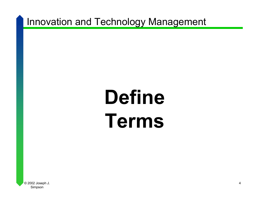# **Define Terms**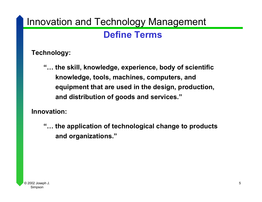### **Define Terms**

**Technology:**

**"… the skill, knowledge, experience, body of scientific knowledge, tools, machines, computers, and equipment that are used in the design, production, and distribution of goods and services."**

**Innovation:**

**"… the application of technological change to products and organizations."**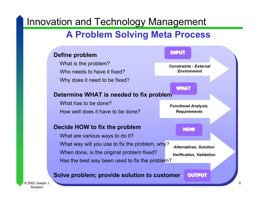## **A Problem Solving Meta Process**

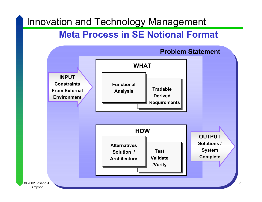## **Meta Process in SE Notional Format**

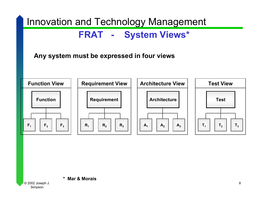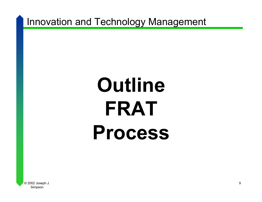# **Outline FRAT Process**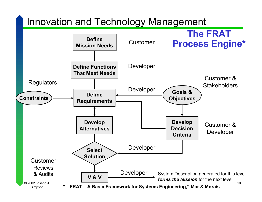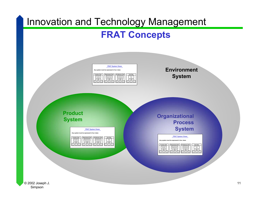## **FRAT Concepts**

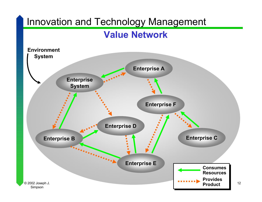### **Value Network**

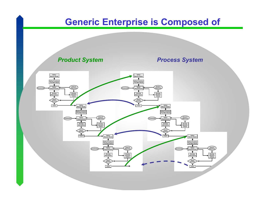## **Generic Enterprise is Composed of**

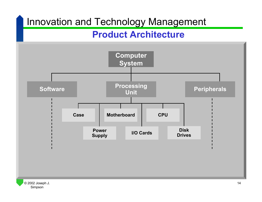### **Product Architecture**

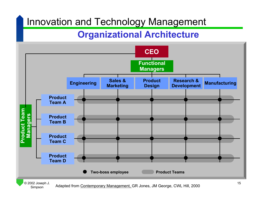## **Organizational Architecture**



Adapted from Contemporary Management, GR Jones, JM George, CWL Hill, 2000

Simpson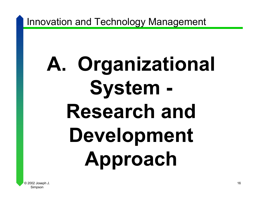# **A. Organizational System - Research and Development Approach**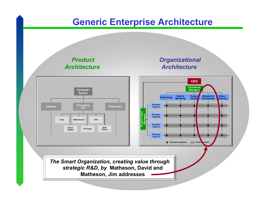## **Generic Enterprise Architecture**

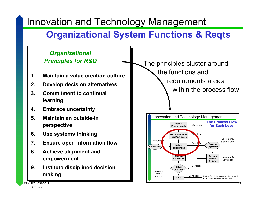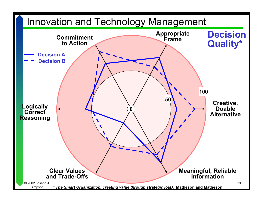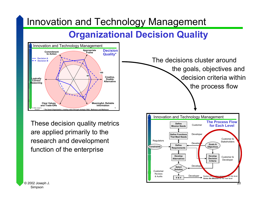## **Organizational Decision Quality**



These decision quality metrics are applied primarily to the research and development function of the enterprise

**The Process Flowfor Each LevelConstraintsDefine Mission NeedsDefine Functions That Meet NeedsDefineRequirements Develop AlternativesRegulators** CustomerReviews& AuditsCustomerDeveloper Develop<sup>t</sup> Goals & **Objectives** Customer &**Stakeholders** Customer &Developer System Description generating for this level *forms the Mission* for the next level Innovation and Technology Management **SelectSolutionV & V**Develope Developer **Develop DecisionCriteria**The decisions cluster aroundthe goals, objectives and decision criteria withinthe process flow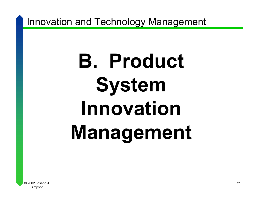# **B. Product System Innovation Management**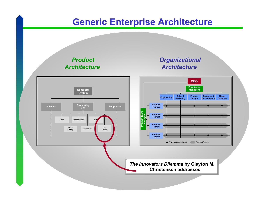## **Generic Enterprise Architecture**

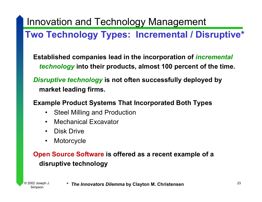## **Two Technology Types: Incremental / Disruptive\***

**Established companies lead in the incorporation of** *incremental technology* **into their products, almost 100 percent of the time.**

*Disruptive technology* **is not often successfully deployed by market leading firms.**

#### **Example Product Systems That Incorporated Both Types**

- $\bullet$ Steel Milling and Production
- $\bullet$ Mechanical Excavator
- $\bullet$ Disk Drive
- $\bullet$ **Motorcycle**

#### **Open Source Software is offered as a recent example of a disruptive technology**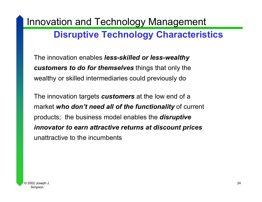## **Disruptive Technology Characteristics**

The innovation enables *less-skilled or less-wealthy customers to do for themselves* things that only the wealthy or skilled intermediaries could previously do

The innovation targets *customers* at the low end of a market *who don't need all of the functionality* of current products; the business model enables the *disruptive innovator to earn attractive returns at discount prices* unattractive to the incumbents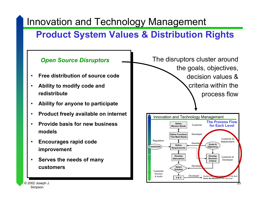## **Product System Values & Distribution Rights**

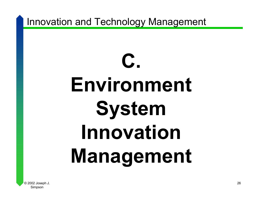# **C. Environment System Innovation Management**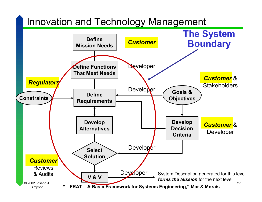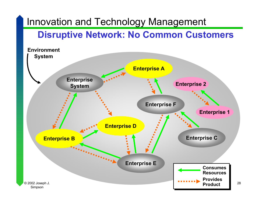## **Disruptive Network: No Common Customers**

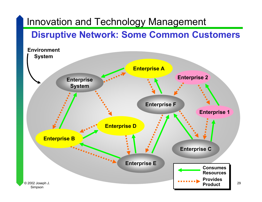## **Disruptive Network: Some Common Customers**

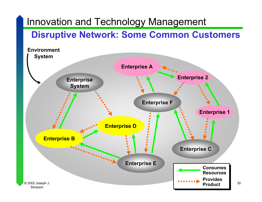## **Disruptive Network: Some Common Customers**

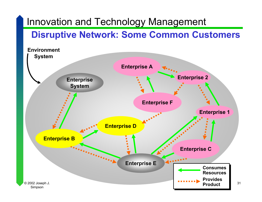## **Disruptive Network: Some Common Customers**

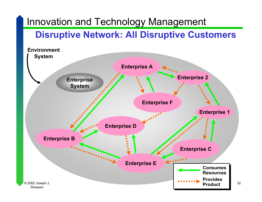## **Disruptive Network: All Disruptive Customers**

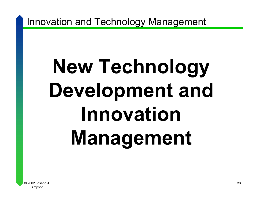# **New Technology Development and Innovation Management**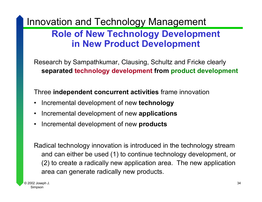## **Role of New Technology Development in New Product Development**

Research by Sampathkumar, Clausing, Schultz and Fricke clearly **separated technology development from product development**

Three **independent concurrent activities** frame innovation

- Incremental development of new **technology**
- $\bullet$ Incremental development of new **applications**
- •Incremental development of new **products**

Radical technology innovation is introduced in the technology stream and can either be used (1) to continue technology development, or (2) to create a radically new application area. The new application area can generate radically new products.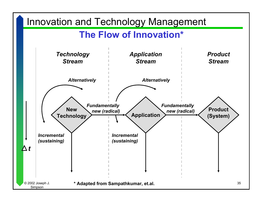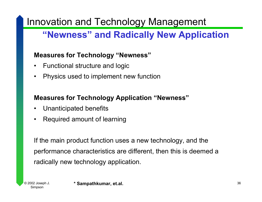## **"Newness" and Radically New Application**

#### **Measures for Technology "Newness"**

- •Functional structure and logic
- •Physics used to implement new function

#### **Measures for Technology Application "Newness"**

- •Unanticipated benefits
- •Required amount of learning

If the main product function uses a new technology, and the performance characteristics are different, then this is deemed a radically new technology application.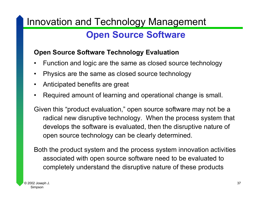## **Open Source Software**

#### **Open Source Software Technology Evaluation**

- •Function and logic are the same as closed source technology
- •Physics are the same as closed source technology
- $\bullet$ Anticipated benefits are great
- •Required amount of learning and operational change is small.

Given this "product evaluation," open source software may not be <sup>a</sup> radical new disruptive technology. When the process system that develops the software is evaluated, then the disruptive nature of open source technology can be clearly determined.

Both the product system and the process system innovation activities associated with open source software need to be evaluated to completely understand the disruptive nature of these products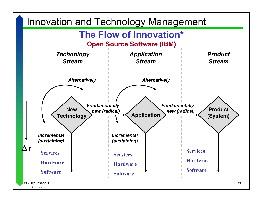

Simpson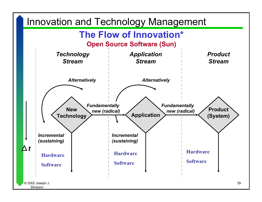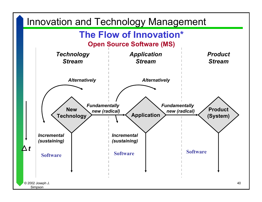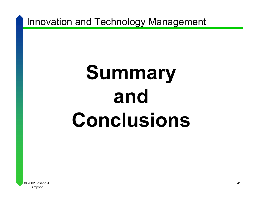# **Summary and Conclusions**